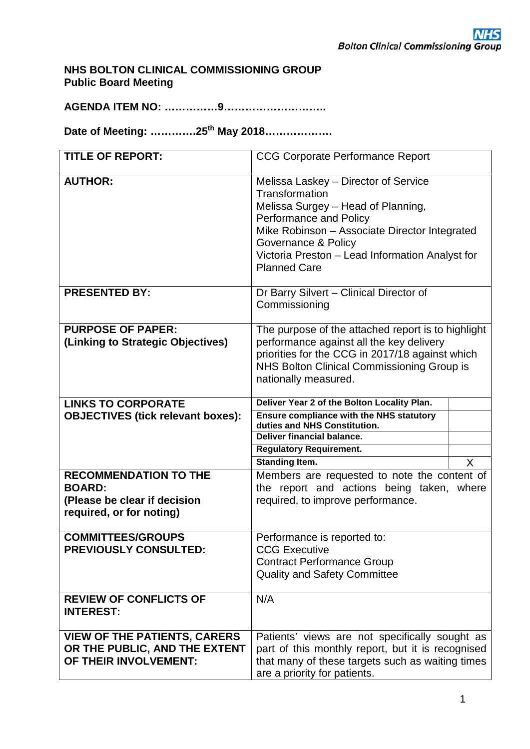# **NHS BOLTON CLINICAL COMMISSIONING GROUP Public Board Meeting**

**AGENDA ITEM NO: ……………9………………………..**

**Date of Meeting: ………….25th May 2018……………….**

| <b>TITLE OF REPORT:</b>                                       | <b>CCG Corporate Performance Report</b>                                                                                                                                                                                                                                  |   |  |  |  |  |  |  |
|---------------------------------------------------------------|--------------------------------------------------------------------------------------------------------------------------------------------------------------------------------------------------------------------------------------------------------------------------|---|--|--|--|--|--|--|
| <b>AUTHOR:</b>                                                | Melissa Laskey - Director of Service<br>Transformation<br>Melissa Surgey - Head of Planning,<br>Performance and Policy<br>Mike Robinson - Associate Director Integrated<br>Governance & Policy<br>Victoria Preston - Lead Information Analyst for<br><b>Planned Care</b> |   |  |  |  |  |  |  |
| <b>PRESENTED BY:</b>                                          | Dr Barry Silvert - Clinical Director of<br>Commissioning                                                                                                                                                                                                                 |   |  |  |  |  |  |  |
| <b>PURPOSE OF PAPER:</b><br>(Linking to Strategic Objectives) | The purpose of the attached report is to highlight<br>performance against all the key delivery<br>priorities for the CCG in 2017/18 against which<br>NHS Bolton Clinical Commissioning Group is<br>nationally measured.                                                  |   |  |  |  |  |  |  |
| <b>LINKS TO CORPORATE</b>                                     | Deliver Year 2 of the Bolton Locality Plan.                                                                                                                                                                                                                              |   |  |  |  |  |  |  |
| <b>OBJECTIVES (tick relevant boxes):</b>                      | <b>Ensure compliance with the NHS statutory</b><br>duties and NHS Constitution.                                                                                                                                                                                          |   |  |  |  |  |  |  |
|                                                               | Deliver financial balance.                                                                                                                                                                                                                                               |   |  |  |  |  |  |  |
|                                                               | <b>Regulatory Requirement.</b>                                                                                                                                                                                                                                           |   |  |  |  |  |  |  |
|                                                               | <b>Standing Item.</b>                                                                                                                                                                                                                                                    | X |  |  |  |  |  |  |
| <b>RECOMMENDATION TO THE</b>                                  | Members are requested to note the content of                                                                                                                                                                                                                             |   |  |  |  |  |  |  |
| <b>BOARD:</b><br>(Please be clear if decision                 | the report and actions being taken, where<br>required, to improve performance.                                                                                                                                                                                           |   |  |  |  |  |  |  |
| required, or for noting)                                      |                                                                                                                                                                                                                                                                          |   |  |  |  |  |  |  |
| <b>COMMITTEES/GROUPS</b>                                      | Performance is reported to:                                                                                                                                                                                                                                              |   |  |  |  |  |  |  |
| <b>PREVIOUSLY CONSULTED:</b>                                  | <b>CCG Executive</b>                                                                                                                                                                                                                                                     |   |  |  |  |  |  |  |
|                                                               | <b>Contract Performance Group</b>                                                                                                                                                                                                                                        |   |  |  |  |  |  |  |
|                                                               | <b>Quality and Safety Committee</b>                                                                                                                                                                                                                                      |   |  |  |  |  |  |  |
| <b>REVIEW OF CONFLICTS OF</b>                                 | N/A                                                                                                                                                                                                                                                                      |   |  |  |  |  |  |  |
| <b>INTEREST:</b>                                              |                                                                                                                                                                                                                                                                          |   |  |  |  |  |  |  |
| <b>VIEW OF THE PATIENTS, CARERS</b>                           | Patients' views are not specifically sought as                                                                                                                                                                                                                           |   |  |  |  |  |  |  |
| OR THE PUBLIC, AND THE EXTENT                                 | part of this monthly report, but it is recognised                                                                                                                                                                                                                        |   |  |  |  |  |  |  |
| OF THEIR INVOLVEMENT:                                         | that many of these targets such as waiting times                                                                                                                                                                                                                         |   |  |  |  |  |  |  |
|                                                               | are a priority for patients.                                                                                                                                                                                                                                             |   |  |  |  |  |  |  |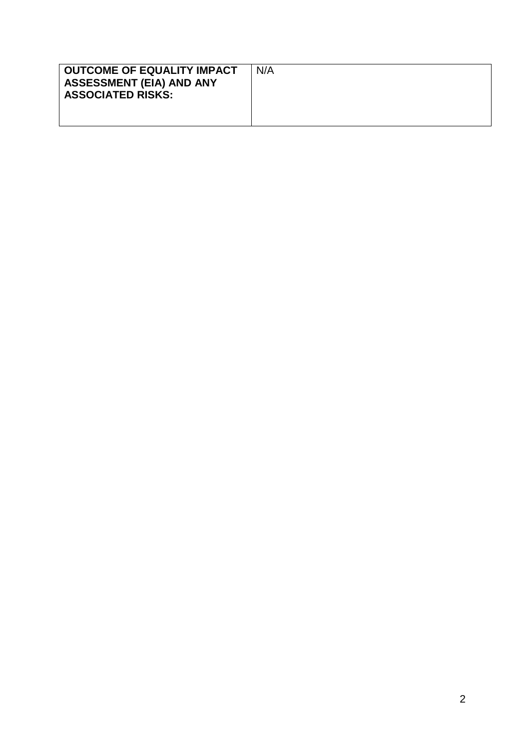| OUTCOME OF EQUALITY IMPACT<br><b>ASSESSMENT (EIA) AND ANY</b><br><b>ASSOCIATED RISKS:</b> | N/A |
|-------------------------------------------------------------------------------------------|-----|
|                                                                                           |     |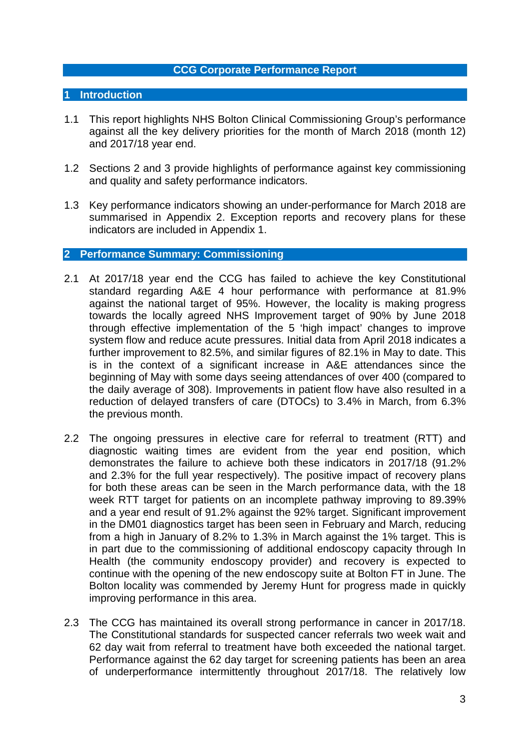## **CCG Corporate Performance Report**

# **1 Introduction**

- 1.1 This report highlights NHS Bolton Clinical Commissioning Group's performance against all the key delivery priorities for the month of March 2018 (month 12) and 2017/18 year end.
- 1.2 Sections 2 and 3 provide highlights of performance against key commissioning and quality and safety performance indicators.
- 1.3 Key performance indicators showing an under-performance for March 2018 are summarised in Appendix 2. Exception reports and recovery plans for these indicators are included in Appendix 1.

### **2 Performance Summary: Commissioning**

- 2.1 At 2017/18 year end the CCG has failed to achieve the key Constitutional standard regarding A&E 4 hour performance with performance at 81.9% against the national target of 95%. However, the locality is making progress towards the locally agreed NHS Improvement target of 90% by June 2018 through effective implementation of the 5 'high impact' changes to improve system flow and reduce acute pressures. Initial data from April 2018 indicates a further improvement to 82.5%, and similar figures of 82.1% in May to date. This is in the context of a significant increase in A&E attendances since the beginning of May with some days seeing attendances of over 400 (compared to the daily average of 308). Improvements in patient flow have also resulted in a reduction of delayed transfers of care (DTOCs) to 3.4% in March, from 6.3% the previous month.
- 2.2 The ongoing pressures in elective care for referral to treatment (RTT) and diagnostic waiting times are evident from the year end position, which demonstrates the failure to achieve both these indicators in 2017/18 (91.2% and 2.3% for the full year respectively). The positive impact of recovery plans for both these areas can be seen in the March performance data, with the 18 week RTT target for patients on an incomplete pathway improving to 89.39% and a year end result of 91.2% against the 92% target. Significant improvement in the DM01 diagnostics target has been seen in February and March, reducing from a high in January of 8.2% to 1.3% in March against the 1% target. This is in part due to the commissioning of additional endoscopy capacity through In Health (the community endoscopy provider) and recovery is expected to continue with the opening of the new endoscopy suite at Bolton FT in June. The Bolton locality was commended by Jeremy Hunt for progress made in quickly improving performance in this area.
- 2.3 The CCG has maintained its overall strong performance in cancer in 2017/18. The Constitutional standards for suspected cancer referrals two week wait and 62 day wait from referral to treatment have both exceeded the national target. Performance against the 62 day target for screening patients has been an area of underperformance intermittently throughout 2017/18. The relatively low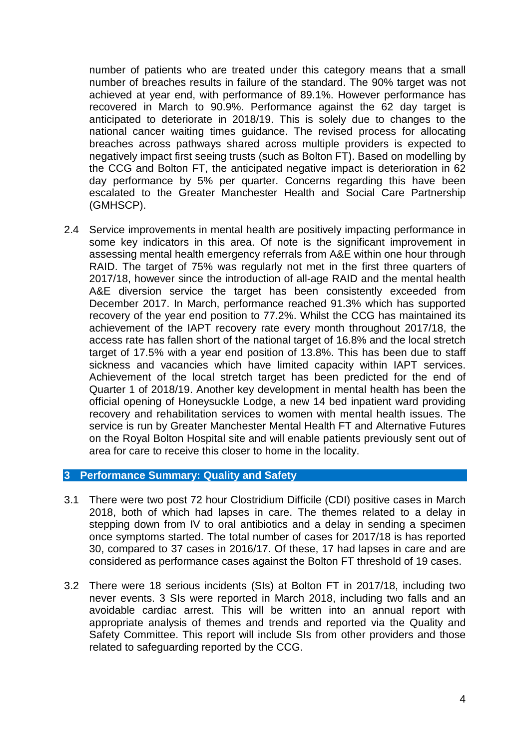number of patients who are treated under this category means that a small number of breaches results in failure of the standard. The 90% target was not achieved at year end, with performance of 89.1%. However performance has recovered in March to 90.9%. Performance against the 62 day target is anticipated to deteriorate in 2018/19. This is solely due to changes to the national cancer waiting times guidance. The revised process for allocating breaches across pathways shared across multiple providers is expected to negatively impact first seeing trusts (such as Bolton FT). Based on modelling by the CCG and Bolton FT, the anticipated negative impact is deterioration in 62 day performance by 5% per quarter. Concerns regarding this have been escalated to the Greater Manchester Health and Social Care Partnership (GMHSCP).

2.4 Service improvements in mental health are positively impacting performance in some key indicators in this area. Of note is the significant improvement in assessing mental health emergency referrals from A&E within one hour through RAID. The target of 75% was regularly not met in the first three quarters of 2017/18, however since the introduction of all-age RAID and the mental health A&E diversion service the target has been consistently exceeded from December 2017. In March, performance reached 91.3% which has supported recovery of the year end position to 77.2%. Whilst the CCG has maintained its achievement of the IAPT recovery rate every month throughout 2017/18, the access rate has fallen short of the national target of 16.8% and the local stretch target of 17.5% with a year end position of 13.8%. This has been due to staff sickness and vacancies which have limited capacity within IAPT services. Achievement of the local stretch target has been predicted for the end of Quarter 1 of 2018/19. Another key development in mental health has been the official opening of Honeysuckle Lodge, a new 14 bed inpatient ward providing recovery and rehabilitation services to women with mental health issues. The service is run by Greater Manchester Mental Health FT and Alternative Futures on the Royal Bolton Hospital site and will enable patients previously sent out of area for care to receive this closer to home in the locality.

# **3 Performance Summary: Quality and Safety**

- 3.1 There were two post 72 hour Clostridium Difficile (CDI) positive cases in March 2018, both of which had lapses in care. The themes related to a delay in stepping down from IV to oral antibiotics and a delay in sending a specimen once symptoms started. The total number of cases for 2017/18 is has reported 30, compared to 37 cases in 2016/17. Of these, 17 had lapses in care and are considered as performance cases against the Bolton FT threshold of 19 cases.
- 3.2 There were 18 serious incidents (SIs) at Bolton FT in 2017/18, including two never events. 3 SIs were reported in March 2018, including two falls and an avoidable cardiac arrest. This will be written into an annual report with appropriate analysis of themes and trends and reported via the Quality and Safety Committee. This report will include SIs from other providers and those related to safeguarding reported by the CCG.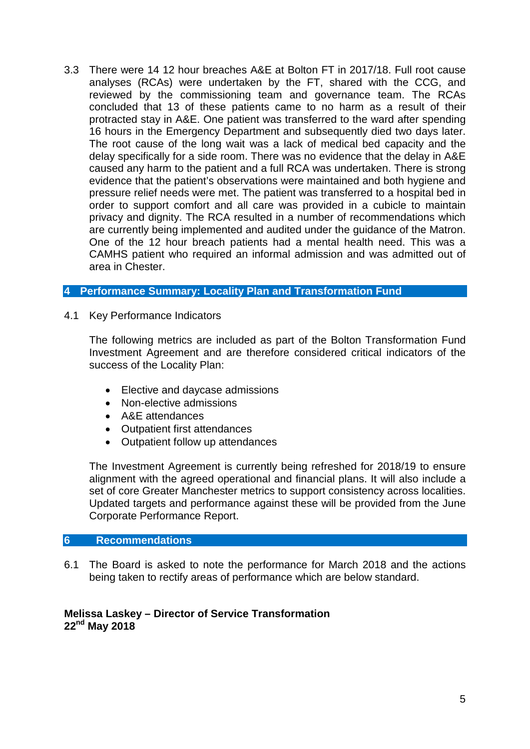3.3 There were 14 12 hour breaches A&E at Bolton FT in 2017/18. Full root cause analyses (RCAs) were undertaken by the FT, shared with the CCG, and reviewed by the commissioning team and governance team. The RCAs concluded that 13 of these patients came to no harm as a result of their protracted stay in A&E. One patient was transferred to the ward after spending 16 hours in the Emergency Department and subsequently died two days later. The root cause of the long wait was a lack of medical bed capacity and the delay specifically for a side room. There was no evidence that the delay in A&E caused any harm to the patient and a full RCA was undertaken. There is strong evidence that the patient's observations were maintained and both hygiene and pressure relief needs were met. The patient was transferred to a hospital bed in order to support comfort and all care was provided in a cubicle to maintain privacy and dignity. The RCA resulted in a number of recommendations which are currently being implemented and audited under the guidance of the Matron. One of the 12 hour breach patients had a mental health need. This was a CAMHS patient who required an informal admission and was admitted out of area in Chester.

# **4 Performance Summary: Locality Plan and Transformation Fund**

4.1 Key Performance Indicators

The following metrics are included as part of the Bolton Transformation Fund Investment Agreement and are therefore considered critical indicators of the success of the Locality Plan:

- Elective and daycase admissions
- Non-elective admissions
- A&E attendances
- Outpatient first attendances
- Outpatient follow up attendances

The Investment Agreement is currently being refreshed for 2018/19 to ensure alignment with the agreed operational and financial plans. It will also include a set of core Greater Manchester metrics to support consistency across localities. Updated targets and performance against these will be provided from the June Corporate Performance Report.

# **6 Recommendations**

6.1 The Board is asked to note the performance for March 2018 and the actions being taken to rectify areas of performance which are below standard.

# **Melissa Laskey – Director of Service Transformation 22nd May 2018**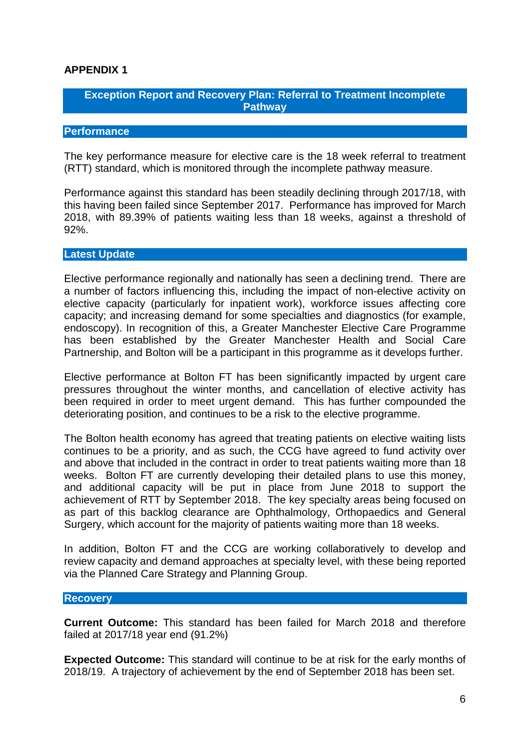# **APPENDIX 1**

# **Exception Report and Recovery Plan: Referral to Treatment Incomplete Pathway**

# **Performance**

The key performance measure for elective care is the 18 week referral to treatment (RTT) standard, which is monitored through the incomplete pathway measure.

Performance against this standard has been steadily declining through 2017/18, with this having been failed since September 2017. Performance has improved for March 2018, with 89.39% of patients waiting less than 18 weeks, against a threshold of 92%.

### **Latest Update**

Elective performance regionally and nationally has seen a declining trend. There are a number of factors influencing this, including the impact of non-elective activity on elective capacity (particularly for inpatient work), workforce issues affecting core capacity; and increasing demand for some specialties and diagnostics (for example, endoscopy). In recognition of this, a Greater Manchester Elective Care Programme has been established by the Greater Manchester Health and Social Care Partnership, and Bolton will be a participant in this programme as it develops further.

Elective performance at Bolton FT has been significantly impacted by urgent care pressures throughout the winter months, and cancellation of elective activity has been required in order to meet urgent demand. This has further compounded the deteriorating position, and continues to be a risk to the elective programme.

The Bolton health economy has agreed that treating patients on elective waiting lists continues to be a priority, and as such, the CCG have agreed to fund activity over and above that included in the contract in order to treat patients waiting more than 18 weeks. Bolton FT are currently developing their detailed plans to use this money, and additional capacity will be put in place from June 2018 to support the achievement of RTT by September 2018. The key specialty areas being focused on as part of this backlog clearance are Ophthalmology, Orthopaedics and General Surgery, which account for the majority of patients waiting more than 18 weeks.

In addition, Bolton FT and the CCG are working collaboratively to develop and review capacity and demand approaches at specialty level, with these being reported via the Planned Care Strategy and Planning Group.

### **Recovery**

**Current Outcome:** This standard has been failed for March 2018 and therefore failed at 2017/18 year end (91.2%)

**Expected Outcome:** This standard will continue to be at risk for the early months of 2018/19. A trajectory of achievement by the end of September 2018 has been set.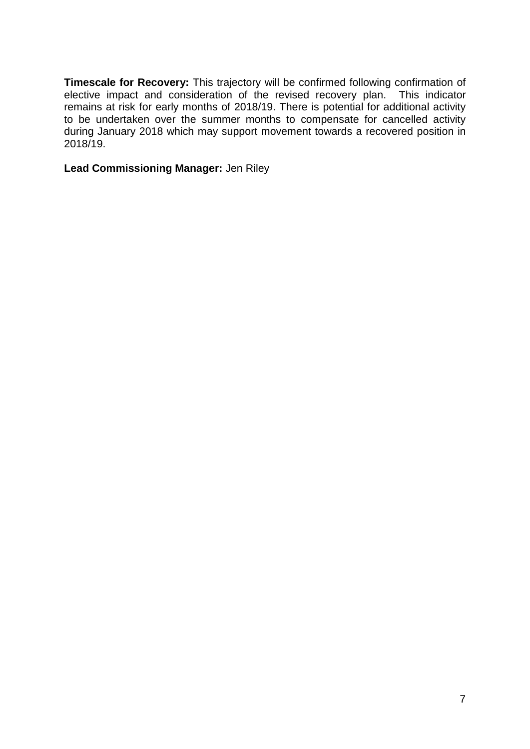**Timescale for Recovery:** This trajectory will be confirmed following confirmation of elective impact and consideration of the revised recovery plan. This indicator remains at risk for early months of 2018/19. There is potential for additional activity to be undertaken over the summer months to compensate for cancelled activity during January 2018 which may support movement towards a recovered position in 2018/19.

**Lead Commissioning Manager:** Jen Riley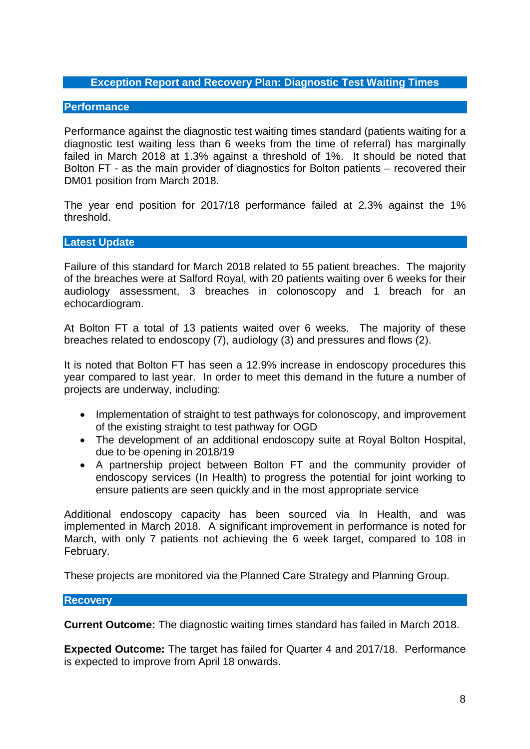# **Exception Report and Recovery Plan: Diagnostic Test Waiting Times**

### **Performance**

Performance against the diagnostic test waiting times standard (patients waiting for a diagnostic test waiting less than 6 weeks from the time of referral) has marginally failed in March 2018 at 1.3% against a threshold of 1%. It should be noted that Bolton FT - as the main provider of diagnostics for Bolton patients – recovered their DM01 position from March 2018.

The year end position for 2017/18 performance failed at 2.3% against the 1% threshold.

### **Latest Update**

Failure of this standard for March 2018 related to 55 patient breaches. The majority of the breaches were at Salford Royal, with 20 patients waiting over 6 weeks for their audiology assessment, 3 breaches in colonoscopy and 1 breach for an echocardiogram.

At Bolton FT a total of 13 patients waited over 6 weeks. The majority of these breaches related to endoscopy (7), audiology (3) and pressures and flows (2).

It is noted that Bolton FT has seen a 12.9% increase in endoscopy procedures this year compared to last year. In order to meet this demand in the future a number of projects are underway, including:

- Implementation of straight to test pathways for colonoscopy, and improvement of the existing straight to test pathway for OGD
- The development of an additional endoscopy suite at Royal Bolton Hospital, due to be opening in 2018/19
- A partnership project between Bolton FT and the community provider of endoscopy services (In Health) to progress the potential for joint working to ensure patients are seen quickly and in the most appropriate service

Additional endoscopy capacity has been sourced via In Health, and was implemented in March 2018. A significant improvement in performance is noted for March, with only 7 patients not achieving the 6 week target, compared to 108 in February.

These projects are monitored via the Planned Care Strategy and Planning Group.

### **Recovery**

**Current Outcome:** The diagnostic waiting times standard has failed in March 2018.

**Expected Outcome:** The target has failed for Quarter 4 and 2017/18. Performance is expected to improve from April 18 onwards.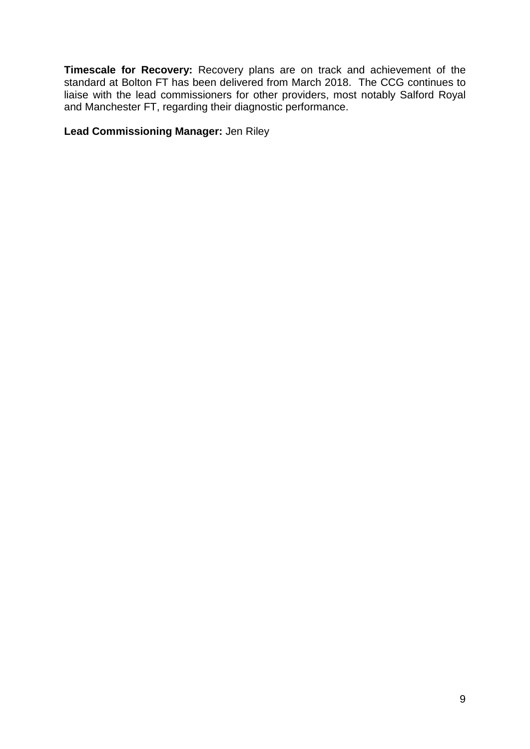**Timescale for Recovery:** Recovery plans are on track and achievement of the standard at Bolton FT has been delivered from March 2018. The CCG continues to liaise with the lead commissioners for other providers, most notably Salford Royal and Manchester FT, regarding their diagnostic performance.

**Lead Commissioning Manager:** Jen Riley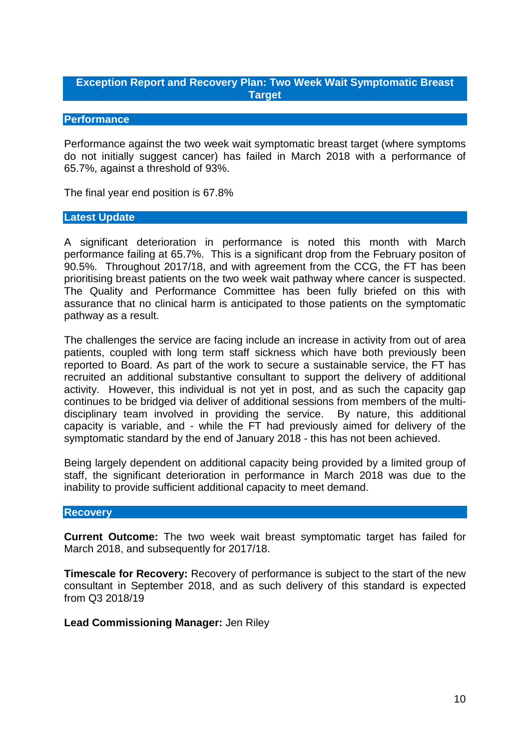# **Exception Report and Recovery Plan: Two Week Wait Symptomatic Breast Target**

# **Performance**

Performance against the two week wait symptomatic breast target (where symptoms do not initially suggest cancer) has failed in March 2018 with a performance of 65.7%, against a threshold of 93%.

The final year end position is 67.8%

### **Latest Update**

A significant deterioration in performance is noted this month with March performance failing at 65.7%. This is a significant drop from the February positon of 90.5%. Throughout 2017/18, and with agreement from the CCG, the FT has been prioritising breast patients on the two week wait pathway where cancer is suspected. The Quality and Performance Committee has been fully briefed on this with assurance that no clinical harm is anticipated to those patients on the symptomatic pathway as a result.

The challenges the service are facing include an increase in activity from out of area patients, coupled with long term staff sickness which have both previously been reported to Board. As part of the work to secure a sustainable service, the FT has recruited an additional substantive consultant to support the delivery of additional activity. However, this individual is not yet in post, and as such the capacity gap continues to be bridged via deliver of additional sessions from members of the multidisciplinary team involved in providing the service. By nature, this additional capacity is variable, and - while the FT had previously aimed for delivery of the symptomatic standard by the end of January 2018 - this has not been achieved.

Being largely dependent on additional capacity being provided by a limited group of staff, the significant deterioration in performance in March 2018 was due to the inability to provide sufficient additional capacity to meet demand.

### **Recovery**

**Current Outcome:** The two week wait breast symptomatic target has failed for March 2018, and subsequently for 2017/18.

**Timescale for Recovery:** Recovery of performance is subject to the start of the new consultant in September 2018, and as such delivery of this standard is expected from Q3 2018/19

**Lead Commissioning Manager:** Jen Riley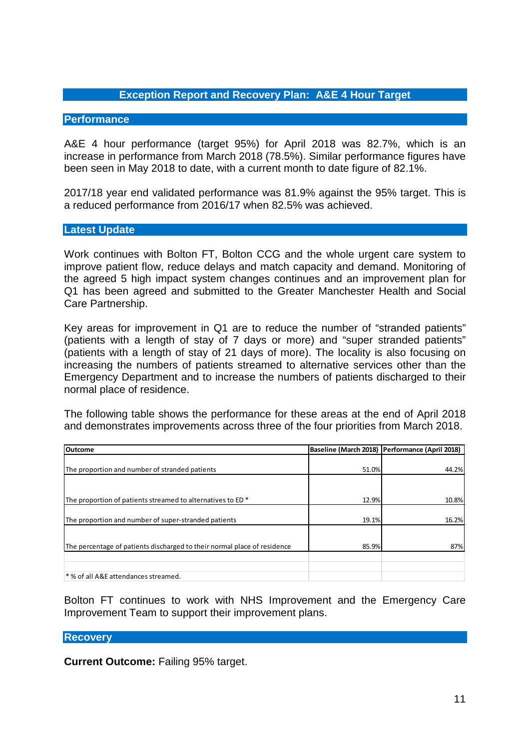# **Exception Report and Recovery Plan: A&E 4 Hour Target**

### **Performance**

A&E 4 hour performance (target 95%) for April 2018 was 82.7%, which is an increase in performance from March 2018 (78.5%). Similar performance figures have been seen in May 2018 to date, with a current month to date figure of 82.1%.

2017/18 year end validated performance was 81.9% against the 95% target. This is a reduced performance from 2016/17 when 82.5% was achieved.

### **Latest Update**

Work continues with Bolton FT, Bolton CCG and the whole urgent care system to improve patient flow, reduce delays and match capacity and demand. Monitoring of the agreed 5 high impact system changes continues and an improvement plan for Q1 has been agreed and submitted to the Greater Manchester Health and Social Care Partnership.

Key areas for improvement in Q1 are to reduce the number of "stranded patients" (patients with a length of stay of 7 days or more) and "super stranded patients" (patients with a length of stay of 21 days of more). The locality is also focusing on increasing the numbers of patients streamed to alternative services other than the Emergency Department and to increase the numbers of patients discharged to their normal place of residence.

The following table shows the performance for these areas at the end of April 2018 and demonstrates improvements across three of the four priorities from March 2018.

| <b>Outcome</b>                                                           |       | Baseline (March 2018)   Performance (April 2018) |
|--------------------------------------------------------------------------|-------|--------------------------------------------------|
|                                                                          |       |                                                  |
| The proportion and number of stranded patients                           | 51.0% | 44.2%                                            |
|                                                                          |       |                                                  |
|                                                                          |       |                                                  |
| The proportion of patients streamed to alternatives to ED *              | 12.9% | 10.8%                                            |
|                                                                          |       |                                                  |
| The proportion and number of super-stranded patients                     | 19.1% | 16.2%                                            |
|                                                                          |       |                                                  |
| The percentage of patients discharged to their normal place of residence | 85.9% | 87%                                              |
|                                                                          |       |                                                  |
|                                                                          |       |                                                  |
| * % of all A&E attendances streamed.                                     |       |                                                  |

Bolton FT continues to work with NHS Improvement and the Emergency Care Improvement Team to support their improvement plans.

### **Recovery**

**Current Outcome:** Failing 95% target.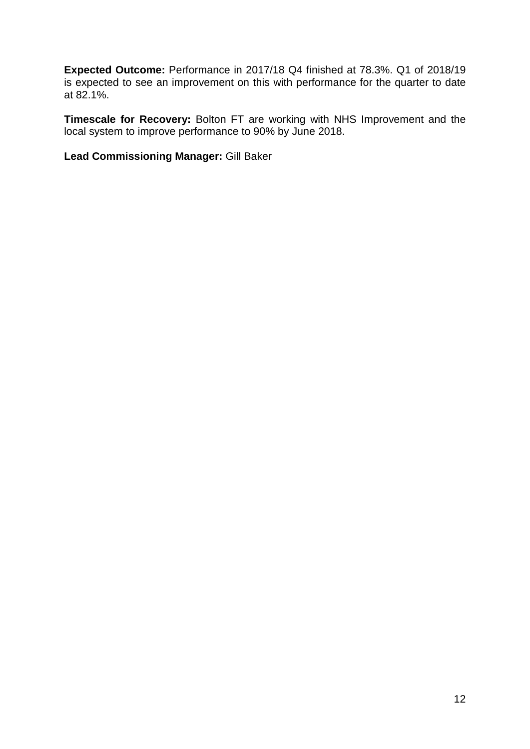**Expected Outcome:** Performance in 2017/18 Q4 finished at 78.3%. Q1 of 2018/19 is expected to see an improvement on this with performance for the quarter to date at 82.1%.

**Timescale for Recovery:** Bolton FT are working with NHS Improvement and the local system to improve performance to 90% by June 2018.

**Lead Commissioning Manager:** Gill Baker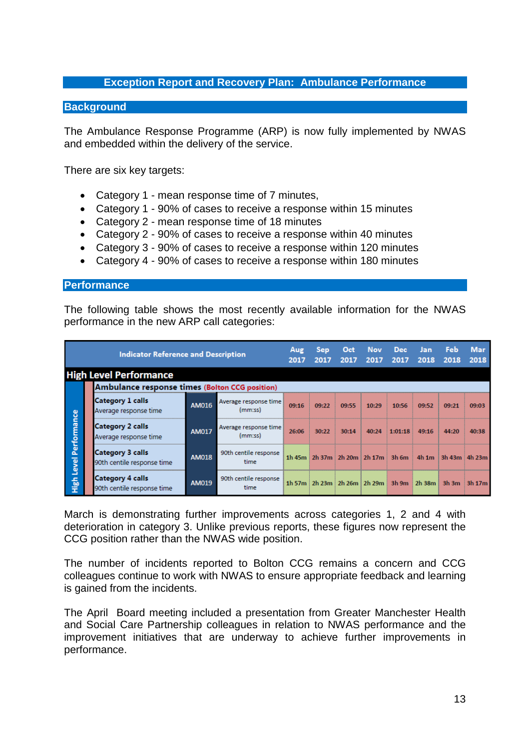# **Exception Report and Recovery Plan: Ambulance Performance**

### **Background**

The Ambulance Response Programme (ARP) is now fully implemented by NWAS and embedded within the delivery of the service.

There are six key targets:

- Category 1 mean response time of 7 minutes,
- Category 1 90% of cases to receive a response within 15 minutes
- Category 2 mean response time of 18 minutes
- Category 2 90% of cases to receive a response within 40 minutes
- Category 3 90% of cases to receive a response within 120 minutes
- Category 4 90% of cases to receive a response within 180 minutes

#### **Performance**

The following table shows the most recently available information for the NWAS performance in the new ARP call categories:

| <b>Indicator Reference and Description</b> |  |                                                       |              |                                  |       | <b>Sep</b><br>2017 | Oct<br>2017 | <b>Nov</b><br>2017                | <b>Dec</b><br>2017 | Jan<br>2018 | Feb<br>2018 | <b>Mar</b><br>2018 |
|--------------------------------------------|--|-------------------------------------------------------|--------------|----------------------------------|-------|--------------------|-------------|-----------------------------------|--------------------|-------------|-------------|--------------------|
|                                            |  | <b>High Level Performance</b>                         |              |                                  |       |                    |             |                                   |                    |             |             |                    |
|                                            |  | <b>Ambulance response times (Bolton CCG position)</b> |              |                                  |       |                    |             |                                   |                    |             |             |                    |
|                                            |  | <b>Category 1 calls</b><br>Average response time      | AM016        | Average response time<br>(mm:ss) | 09:16 | 09:22              | 09:55       | 10:29                             | 10:56              | 09:52       | 09:21       | 09:03              |
| Performance                                |  | <b>Category 2 calls</b><br>Average response time      | <b>AM017</b> | Average response time<br>(mm:ss) | 26:06 | 30:22              | 30:14       | 40:24                             | 1:01:18            | 49:16       | 44:20       | 40:38              |
| <b>Level</b>                               |  | <b>Category 3 calls</b><br>90th centile response time | <b>AM018</b> | 90th centile response<br>time    |       |                    |             | 1h 45m   2h 37m   2h 20m   2h 17m | $3h$ 6m            | 4h1m        | 3h43m       | 4h 23m             |
| High                                       |  | <b>Category 4 calls</b><br>90th centile response time | AM019        | 90th centile response<br>time    |       |                    |             | 1h 57m   2h 23m   2h 26m   2h 29m | $3h$ 9m            | 2h38m       |             | $3h3m$ $3h17m$     |

March is demonstrating further improvements across categories 1, 2 and 4 with deterioration in category 3. Unlike previous reports, these figures now represent the CCG position rather than the NWAS wide position.

The number of incidents reported to Bolton CCG remains a concern and CCG colleagues continue to work with NWAS to ensure appropriate feedback and learning is gained from the incidents.

The April Board meeting included a presentation from Greater Manchester Health and Social Care Partnership colleagues in relation to NWAS performance and the improvement initiatives that are underway to achieve further improvements in performance.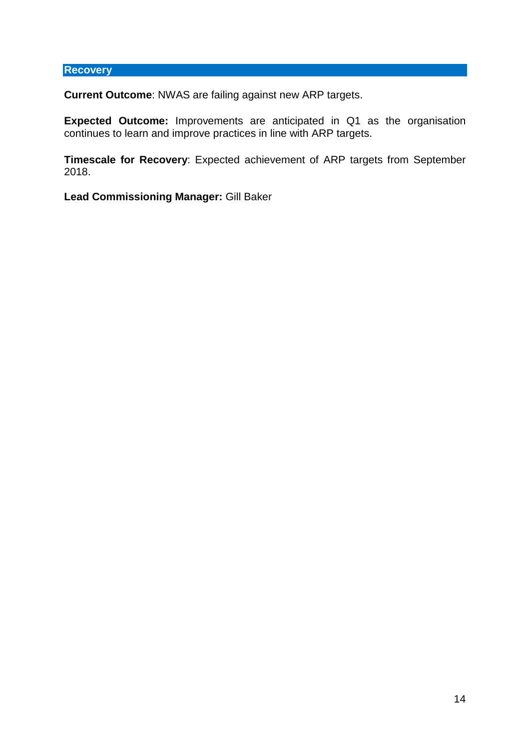# **Recovery**

**Current Outcome**: NWAS are failing against new ARP targets.

**Expected Outcome:** Improvements are anticipated in Q1 as the organisation continues to learn and improve practices in line with ARP targets.

**Timescale for Recovery**: Expected achievement of ARP targets from September 2018.

**Lead Commissioning Manager:** Gill Baker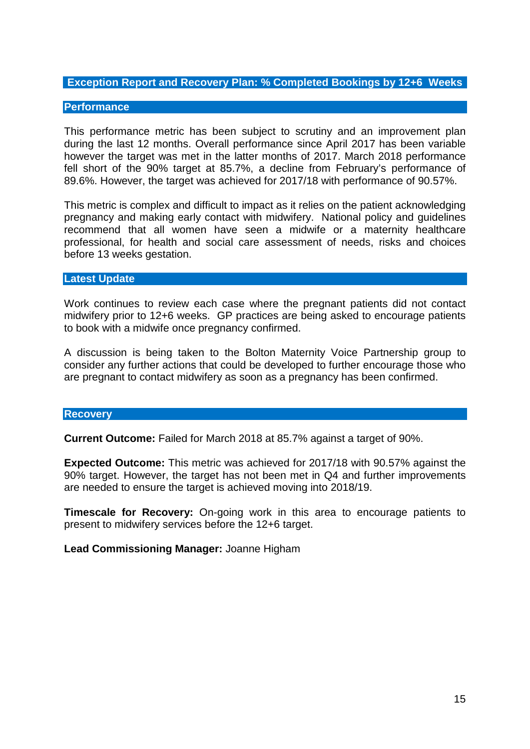# **Exception Report and Recovery Plan: % Completed Bookings by 12+6 Weeks**

### **Performance**

This performance metric has been subject to scrutiny and an improvement plan during the last 12 months. Overall performance since April 2017 has been variable however the target was met in the latter months of 2017. March 2018 performance fell short of the 90% target at 85.7%, a decline from February's performance of 89.6%. However, the target was achieved for 2017/18 with performance of 90.57%.

This metric is complex and difficult to impact as it relies on the patient acknowledging pregnancy and making early contact with midwifery. National policy and guidelines recommend that all women have seen a midwife or a maternity healthcare professional, for health and social care assessment of needs, risks and choices before 13 weeks gestation.

### **Latest Update**

Work continues to review each case where the pregnant patients did not contact midwifery prior to 12+6 weeks. GP practices are being asked to encourage patients to book with a midwife once pregnancy confirmed.

A discussion is being taken to the Bolton Maternity Voice Partnership group to consider any further actions that could be developed to further encourage those who are pregnant to contact midwifery as soon as a pregnancy has been confirmed.

### **Recovery**

**Current Outcome:** Failed for March 2018 at 85.7% against a target of 90%.

**Expected Outcome:** This metric was achieved for 2017/18 with 90.57% against the 90% target. However, the target has not been met in Q4 and further improvements are needed to ensure the target is achieved moving into 2018/19.

**Timescale for Recovery:** On-going work in this area to encourage patients to present to midwifery services before the 12+6 target.

**Lead Commissioning Manager:** Joanne Higham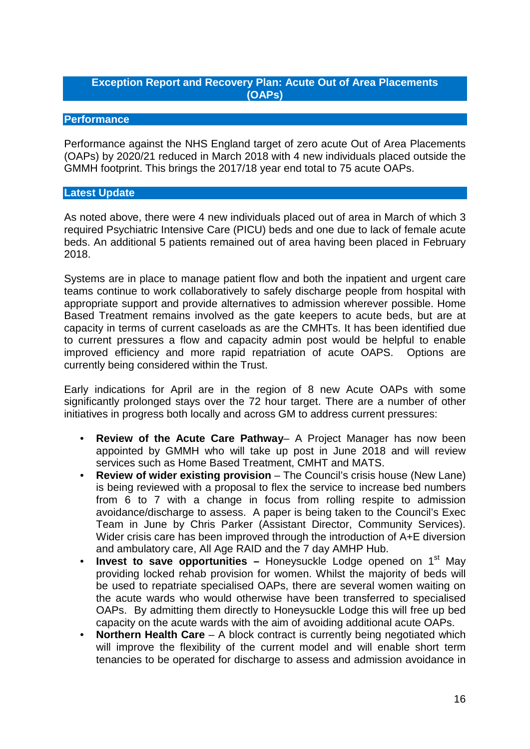# **Exception Report and Recovery Plan: Acute Out of Area Placements (OAPs)**

# **Performance**

Performance against the NHS England target of zero acute Out of Area Placements (OAPs) by 2020/21 reduced in March 2018 with 4 new individuals placed outside the GMMH footprint. This brings the 2017/18 year end total to 75 acute OAPs.

# **Latest Update**

As noted above, there were 4 new individuals placed out of area in March of which 3 required Psychiatric Intensive Care (PICU) beds and one due to lack of female acute beds. An additional 5 patients remained out of area having been placed in February 2018.

Systems are in place to manage patient flow and both the inpatient and urgent care teams continue to work collaboratively to safely discharge people from hospital with appropriate support and provide alternatives to admission wherever possible. Home Based Treatment remains involved as the gate keepers to acute beds, but are at capacity in terms of current caseloads as are the CMHTs. It has been identified due to current pressures a flow and capacity admin post would be helpful to enable improved efficiency and more rapid repatriation of acute OAPS. Options are currently being considered within the Trust.

Early indications for April are in the region of 8 new Acute OAPs with some significantly prolonged stays over the 72 hour target. There are a number of other initiatives in progress both locally and across GM to address current pressures:

- **Review of the Acute Care Pathway** A Project Manager has now been appointed by GMMH who will take up post in June 2018 and will review services such as Home Based Treatment, CMHT and MATS.
- **Review of wider existing provision** The Council's crisis house (New Lane) is being reviewed with a proposal to flex the service to increase bed numbers from 6 to 7 with a change in focus from rolling respite to admission avoidance/discharge to assess. A paper is being taken to the Council's Exec Team in June by Chris Parker (Assistant Director, Community Services). Wider crisis care has been improved through the introduction of A+E diversion and ambulatory care, All Age RAID and the 7 day AMHP Hub.
- **Invest to save opportunities** Honeysuckle Lodge opened on 1<sup>st</sup> May providing locked rehab provision for women. Whilst the majority of beds will be used to repatriate specialised OAPs, there are several women waiting on the acute wards who would otherwise have been transferred to specialised OAPs. By admitting them directly to Honeysuckle Lodge this will free up bed capacity on the acute wards with the aim of avoiding additional acute OAPs.
- **Northern Health Care** A block contract is currently being negotiated which will improve the flexibility of the current model and will enable short term tenancies to be operated for discharge to assess and admission avoidance in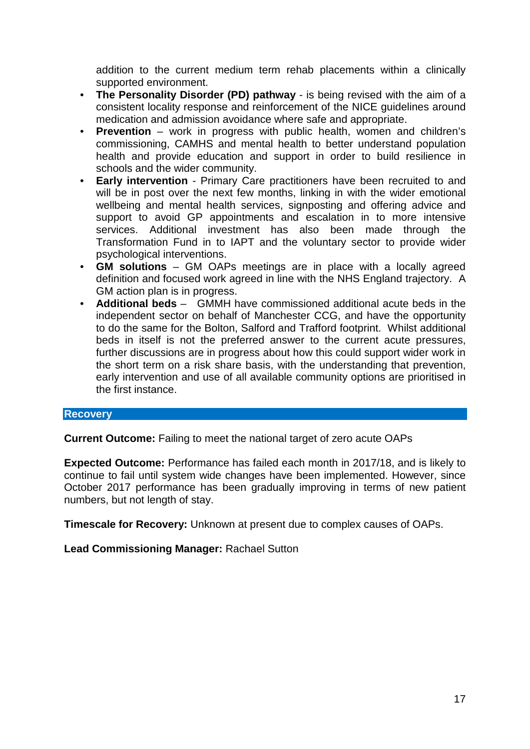addition to the current medium term rehab placements within a clinically supported environment.

- **The Personality Disorder (PD) pathway** is being revised with the aim of a consistent locality response and reinforcement of the NICE guidelines around medication and admission avoidance where safe and appropriate.
- **Prevention** work in progress with public health, women and children's commissioning, CAMHS and mental health to better understand population health and provide education and support in order to build resilience in schools and the wider community.
- **Early intervention** Primary Care practitioners have been recruited to and will be in post over the next few months, linking in with the wider emotional wellbeing and mental health services, signposting and offering advice and support to avoid GP appointments and escalation in to more intensive services. Additional investment has also been made through the Transformation Fund in to IAPT and the voluntary sector to provide wider psychological interventions.
- **GM solutions** GM OAPs meetings are in place with a locally agreed definition and focused work agreed in line with the NHS England trajectory. A GM action plan is in progress.
- **Additional beds** GMMH have commissioned additional acute beds in the independent sector on behalf of Manchester CCG, and have the opportunity to do the same for the Bolton, Salford and Trafford footprint. Whilst additional beds in itself is not the preferred answer to the current acute pressures, further discussions are in progress about how this could support wider work in the short term on a risk share basis, with the understanding that prevention, early intervention and use of all available community options are prioritised in the first instance.

# **Recovery**

**Current Outcome:** Failing to meet the national target of zero acute OAPs

**Expected Outcome:** Performance has failed each month in 2017/18, and is likely to continue to fail until system wide changes have been implemented. However, since October 2017 performance has been gradually improving in terms of new patient numbers, but not length of stay.

**Timescale for Recovery:** Unknown at present due to complex causes of OAPs.

**Lead Commissioning Manager:** Rachael Sutton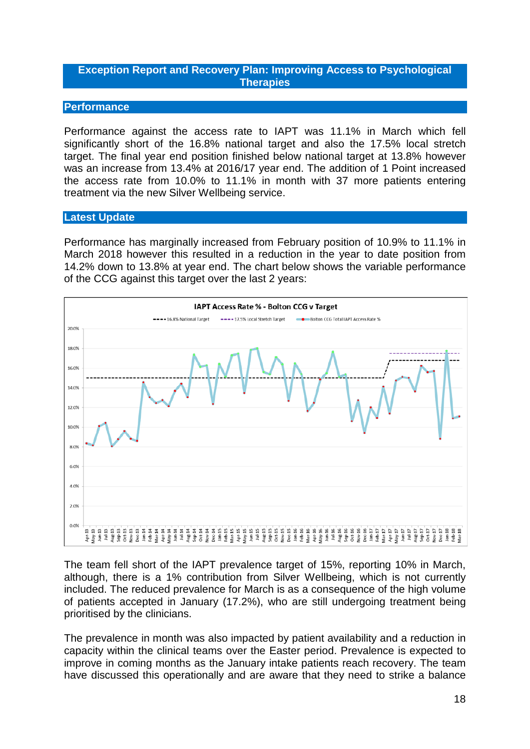# **Exception Report and Recovery Plan: Improving Access to Psychological Therapies**

### **Performance**

Performance against the access rate to IAPT was 11.1% in March which fell significantly short of the 16.8% national target and also the 17.5% local stretch target. The final year end position finished below national target at 13.8% however was an increase from 13.4% at 2016/17 year end. The addition of 1 Point increased the access rate from 10.0% to 11.1% in month with 37 more patients entering treatment via the new Silver Wellbeing service.

#### **Latest Update**

Performance has marginally increased from February position of 10.9% to 11.1% in March 2018 however this resulted in a reduction in the year to date position from 14.2% down to 13.8% at year end. The chart below shows the variable performance of the CCG against this target over the last 2 years:



The team fell short of the IAPT prevalence target of 15%, reporting 10% in March, although, there is a 1% contribution from Silver Wellbeing, which is not currently included. The reduced prevalence for March is as a consequence of the high volume of patients accepted in January (17.2%), who are still undergoing treatment being prioritised by the clinicians.

The prevalence in month was also impacted by patient availability and a reduction in capacity within the clinical teams over the Easter period. Prevalence is expected to improve in coming months as the January intake patients reach recovery. The team have discussed this operationally and are aware that they need to strike a balance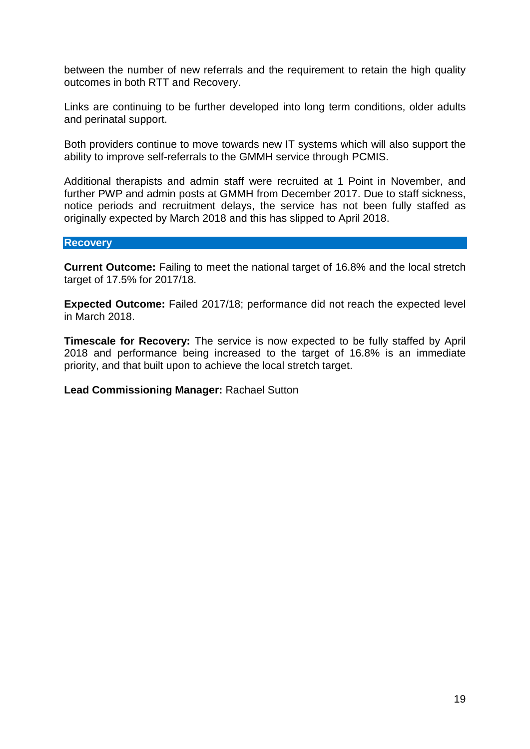between the number of new referrals and the requirement to retain the high quality outcomes in both RTT and Recovery.

Links are continuing to be further developed into long term conditions, older adults and perinatal support.

Both providers continue to move towards new IT systems which will also support the ability to improve self-referrals to the GMMH service through PCMIS.

Additional therapists and admin staff were recruited at 1 Point in November, and further PWP and admin posts at GMMH from December 2017. Due to staff sickness, notice periods and recruitment delays, the service has not been fully staffed as originally expected by March 2018 and this has slipped to April 2018.

### **Recovery**

**Current Outcome:** Failing to meet the national target of 16.8% and the local stretch target of 17.5% for 2017/18.

**Expected Outcome:** Failed 2017/18; performance did not reach the expected level in March 2018.

**Timescale for Recovery:** The service is now expected to be fully staffed by April 2018 and performance being increased to the target of 16.8% is an immediate priority, and that built upon to achieve the local stretch target.

### **Lead Commissioning Manager:** Rachael Sutton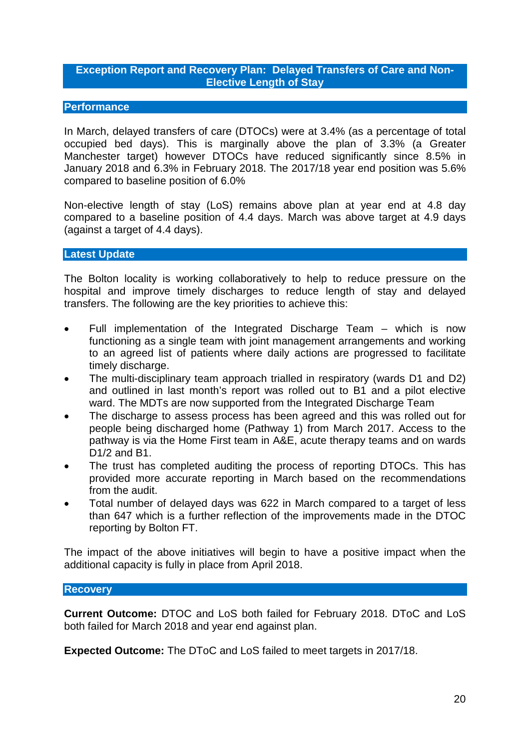# **Exception Report and Recovery Plan: Delayed Transfers of Care and Non-Elective Length of Stay**

# **Performance**

In March, delayed transfers of care (DTOCs) were at 3.4% (as a percentage of total occupied bed days). This is marginally above the plan of 3.3% (a Greater Manchester target) however DTOCs have reduced significantly since 8.5% in January 2018 and 6.3% in February 2018. The 2017/18 year end position was 5.6% compared to baseline position of 6.0%

Non-elective length of stay (LoS) remains above plan at year end at 4.8 day compared to a baseline position of 4.4 days. March was above target at 4.9 days (against a target of 4.4 days).

### **Latest Update**

The Bolton locality is working collaboratively to help to reduce pressure on the hospital and improve timely discharges to reduce length of stay and delayed transfers. The following are the key priorities to achieve this:

- Full implementation of the Integrated Discharge Team which is now functioning as a single team with joint management arrangements and working to an agreed list of patients where daily actions are progressed to facilitate timely discharge.
- The multi-disciplinary team approach trialled in respiratory (wards D1 and D2) and outlined in last month's report was rolled out to B1 and a pilot elective ward. The MDTs are now supported from the Integrated Discharge Team
- The discharge to assess process has been agreed and this was rolled out for people being discharged home (Pathway 1) from March 2017. Access to the pathway is via the Home First team in A&E, acute therapy teams and on wards D1/2 and B1.
- The trust has completed auditing the process of reporting DTOCs. This has provided more accurate reporting in March based on the recommendations from the audit.
- Total number of delayed days was 622 in March compared to a target of less than 647 which is a further reflection of the improvements made in the DTOC reporting by Bolton FT.

The impact of the above initiatives will begin to have a positive impact when the additional capacity is fully in place from April 2018.

### **Recovery**

**Current Outcome:** DTOC and LoS both failed for February 2018. DToC and LoS both failed for March 2018 and year end against plan.

**Expected Outcome:** The DToC and LoS failed to meet targets in 2017/18.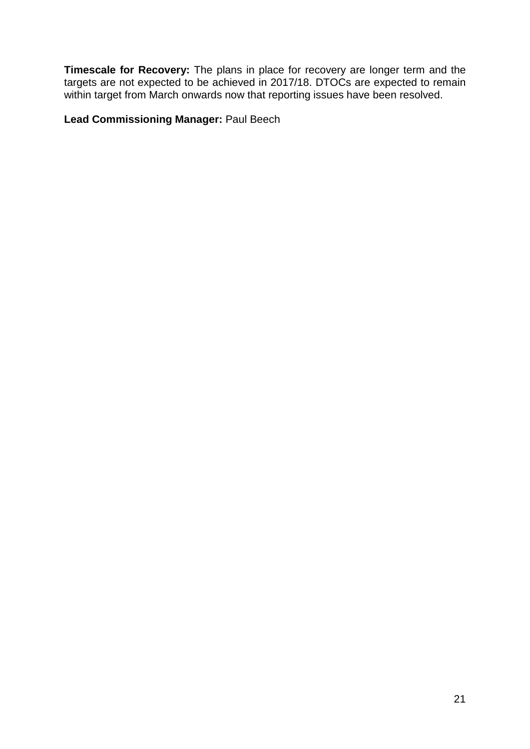**Timescale for Recovery:** The plans in place for recovery are longer term and the targets are not expected to be achieved in 2017/18. DTOCs are expected to remain within target from March onwards now that reporting issues have been resolved.

# **Lead Commissioning Manager:** Paul Beech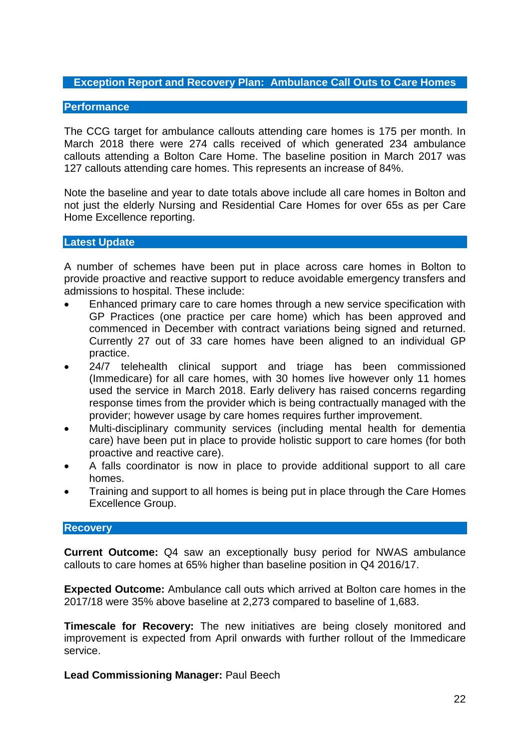# **Exception Report and Recovery Plan: Ambulance Call Outs to Care Homes**

### **Performance**

The CCG target for ambulance callouts attending care homes is 175 per month. In March 2018 there were 274 calls received of which generated 234 ambulance callouts attending a Bolton Care Home. The baseline position in March 2017 was 127 callouts attending care homes. This represents an increase of 84%.

Note the baseline and year to date totals above include all care homes in Bolton and not just the elderly Nursing and Residential Care Homes for over 65s as per Care Home Excellence reporting.

### **Latest Update**

A number of schemes have been put in place across care homes in Bolton to provide proactive and reactive support to reduce avoidable emergency transfers and admissions to hospital. These include:

- Enhanced primary care to care homes through a new service specification with GP Practices (one practice per care home) which has been approved and commenced in December with contract variations being signed and returned. Currently 27 out of 33 care homes have been aligned to an individual GP practice.
- 24/7 telehealth clinical support and triage has been commissioned (Immedicare) for all care homes, with 30 homes live however only 11 homes used the service in March 2018. Early delivery has raised concerns regarding response times from the provider which is being contractually managed with the provider; however usage by care homes requires further improvement.
- Multi-disciplinary community services (including mental health for dementia care) have been put in place to provide holistic support to care homes (for both proactive and reactive care).
- A falls coordinator is now in place to provide additional support to all care homes.
- Training and support to all homes is being put in place through the Care Homes Excellence Group.

#### **Recovery**

**Current Outcome:** Q4 saw an exceptionally busy period for NWAS ambulance callouts to care homes at 65% higher than baseline position in Q4 2016/17.

**Expected Outcome:** Ambulance call outs which arrived at Bolton care homes in the 2017/18 were 35% above baseline at 2,273 compared to baseline of 1,683.

**Timescale for Recovery:** The new initiatives are being closely monitored and improvement is expected from April onwards with further rollout of the Immedicare service.

**Lead Commissioning Manager:** Paul Beech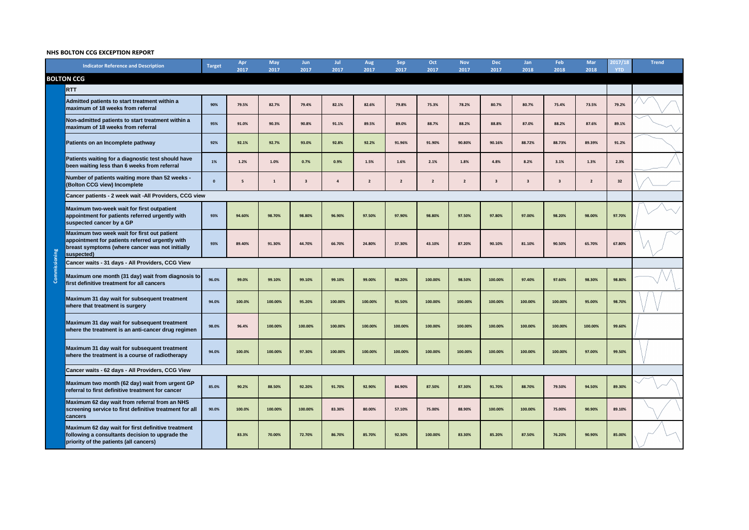# **NHS BOLTON CCG EXCEPTION REPORT**

|               | <b>Indicator Reference and Description</b>                                                                                                                      | <b>Target</b> | Apr<br>2017 | <b>May</b><br>2017 | <b>Jun</b><br>2017      | Jul<br>2017 | <b>Aug</b><br>2017 | <b>Sep</b><br>2017 | Oct<br>2017             | <b>Nov</b><br>2017 | <b>Dec</b><br>2017      | Jan<br>2018             | <b>Feb</b><br>2018      | <b>Mar</b><br>2018 | 2017/<br><b>YTD</b> | <b>Trend</b>         |
|---------------|-----------------------------------------------------------------------------------------------------------------------------------------------------------------|---------------|-------------|--------------------|-------------------------|-------------|--------------------|--------------------|-------------------------|--------------------|-------------------------|-------------------------|-------------------------|--------------------|---------------------|----------------------|
|               | <b>BOLTON CCG</b>                                                                                                                                               |               |             |                    |                         |             |                    |                    |                         |                    |                         |                         |                         |                    |                     |                      |
|               | <b>RTT</b>                                                                                                                                                      |               |             |                    |                         |             |                    |                    |                         |                    |                         |                         |                         |                    |                     |                      |
|               | Admitted patients to start treatment within a<br>maximum of 18 weeks from referral                                                                              | 90%           | 79.5%       | 82.7%              | 79.4%                   | 82.1%       | 82.6%              | 79.8%              | 75.3%                   | 78.2%              | 80.7%                   | 80.7%                   | 75.4%                   | 73.5%              | 79.2%               |                      |
|               | Non-admitted patients to start treatment within a<br>maximum of 18 weeks from referral                                                                          | 95%           | 91.0%       | 90.3%              | 90.8%                   | 91.1%       | 89.5%              | 89.0%              | 88.7%                   | 88.2%              | 88.8%                   | 87.0%                   | 88.2%                   | 87.6%              | 89.1%               |                      |
|               | Patients on an Incomplete pathway                                                                                                                               | 92%           | 92.1%       | 92.7%              | 93.0%                   | 92.8%       | 92.2%              | 91.96%             | 91.90%                  | 90.80%             | 90.16%                  | 88.72%                  | 88.73%                  | 89.39%             | 91.2%               |                      |
|               | Patients waiting for a diagnostic test should have<br>been waiting less than 6 weeks from referral                                                              | 1%            | 1.2%        | 1.0%               | 0.7%                    | 0.9%        | 1.5%               | 1.6%               | 2.1%                    | 1.8%               | 4.8%                    | 8.2%                    | 3.1%                    | 1.3%               | 2.3%                |                      |
|               | Number of patients waiting more than 52 weeks -<br>(Bolton CCG view) Incomplete                                                                                 | $\mathbf{0}$  | -5          |                    | $\overline{\mathbf{3}}$ |             | $\overline{2}$     | $\overline{2}$     | $\overline{\mathbf{2}}$ | $\overline{2}$     | $\overline{\mathbf{3}}$ | $\overline{\mathbf{3}}$ | $\overline{\mathbf{3}}$ | $\overline{2}$     | 32                  |                      |
|               | Cancer patients - 2 week wait - All Providers, CCG view                                                                                                         |               |             |                    |                         |             |                    |                    |                         |                    |                         |                         |                         |                    |                     |                      |
|               | Maximum two-week wait for first outpatient<br>appointment for patients referred urgently with<br>suspected cancer by a GP                                       | 93%           | 94.60%      | 98.70%             | 98.80%                  | 96.90%      | 97.50%             | 97.90%             | 98.80%                  | 97.50%             | 97.80%                  | 97.00%                  | 98.20%                  | 98.00%             | 97.70%              |                      |
|               | Maximum two week wait for first out patient<br>appointment for patients referred urgently with<br>breast symptoms (where cancer was not initially<br>suspected) | 93%           | 89.40%      | 91.30%             | 44.70%                  | 66.70%      | 24.80%             | 37.30%             | 43.10%                  | 87.20%             | 90.10%                  | 81.10%                  | 90.50%                  | 65.70%             | 67.80%              | $\curvearrowright$ / |
|               | Cancer waits - 31 days - All Providers, CCG View                                                                                                                |               |             |                    |                         |             |                    |                    |                         |                    |                         |                         |                         |                    |                     |                      |
| Commissioning | Maximum one month (31 day) wait from diagnosis to<br>first definitive treatment for all cancers                                                                 | 96.0%         | 99.0%       | 99.10%             | 99.10%                  | 99.10%      | 99.00%             | 98.20%             | 100.00%                 | 98.50%             | 100.00%                 | 97.40%                  | 97.60%                  | 98.30%             | 98.80%              |                      |
|               | Maximum 31 day wait for subsequent treatment<br><b>where that treatment is surgery</b>                                                                          | 94.0%         | 100.0%      | 100.00%            | 95.20%                  | 100.00%     | 100.00%            | 95.50%             | 100.00%                 | 100.00%            | 100.00%                 | 100.00%                 | 100.00%                 | 95.00%             | 98.70%              |                      |
|               | Maximum 31 day wait for subsequent treatment<br>where the treatment is an anti-cancer drug regimen                                                              | 98.0%         | 96.4%       | 100.00%            | 100.00%                 | 100.00%     | 100.00%            | 100.00%            | 100.00%                 | 100.00%            | 100.00%                 | 100.00%                 | 100.00%                 | 100.00%            | 99.60%              |                      |
|               | Maximum 31 day wait for subsequent treatment<br>where the treatment is a course of radiotherapy                                                                 | 94.0%         | 100.0%      | 100.00%            | 97.30%                  | 100.00%     | 100.00%            | 100.00%            | 100.00%                 | 100.00%            | 100.00%                 | 100.00%                 | 100.00%                 | 97.00%             | 99.50%              |                      |
|               | Cancer waits - 62 days - All Providers, CCG View                                                                                                                |               |             |                    |                         |             |                    |                    |                         |                    |                         |                         |                         |                    |                     |                      |
|               | Maximum two month (62 day) wait from urgent GP<br>referral to first definitive treatment for cancer                                                             | 85.0%         | 90.2%       | 88.50%             | 92.20%                  | 91.70%      | 92.90%             | 84.90%             | 87.50%                  | 87.30%             | 91.70%                  | 88.70%                  | 79.50%                  | 94.50%             | 89.30%              |                      |
|               | Maximum 62 day wait from referral from an NHS<br>screening service to first definitive treatment for all<br><b>cancers</b>                                      | 90.0%         | 100.0%      | 100.00%            | 100.00%                 | 83.30%      | 80.00%             | 57.10%             | 75.00%                  | 88.90%             | 100.00%                 | 100.00%                 | 75.00%                  | 90.90%             | 89.10%              |                      |
|               | Maximum 62 day wait for first definitive treatment<br>following a consultants decision to upgrade the<br>priority of the patients (all cancers)                 |               | 83.3%       | 70.00%             | 72.70%                  | 86.70%      | 85.70%             | 92.30%             | 100.00%                 | 83.30%             | 85.20%                  | 87.50%                  | 76.20%                  | 90.90%             | 85.00%              |                      |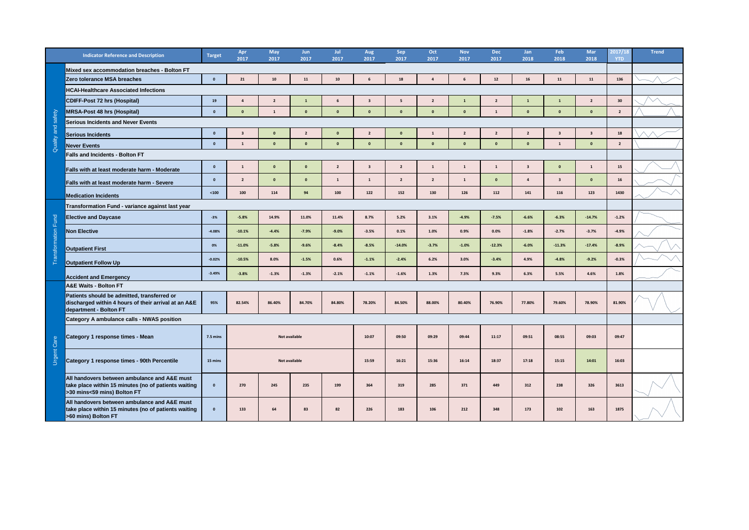|                   | <b>Indicator Reference and Description</b>                                                                                          | <b>Target</b>      | Apr<br>2017  | <b>May</b><br>2017   | Jun<br>2017 | Jul<br>2017             | <b>Aug</b><br>2017 | <b>Sep</b><br>2017 | Oct<br>2017 | <b>Nov</b><br>2017 | <b>Dec</b><br>2017 | Jan<br>2018  | Feb<br>2018             | <b>Mar</b><br>2018      | 2017/18<br><b>YTD</b> | <b>Trend</b> |
|-------------------|-------------------------------------------------------------------------------------------------------------------------------------|--------------------|--------------|----------------------|-------------|-------------------------|--------------------|--------------------|-------------|--------------------|--------------------|--------------|-------------------------|-------------------------|-----------------------|--------------|
|                   | Mixed sex accommodation breaches - Bolton FT                                                                                        |                    |              |                      |             |                         |                    |                    |             |                    |                    |              |                         |                         |                       |              |
|                   | Zero tolerance MSA breaches                                                                                                         |                    | 21           | 10                   | 11          | 10                      |                    | 18                 |             |                    | 12                 | <b>16</b>    | 11                      | 11                      | 136                   |              |
|                   | <b>HCAI-Healthcare Associated Infections</b>                                                                                        |                    |              |                      |             |                         |                    |                    |             |                    |                    |              |                         |                         |                       |              |
|                   | <b>CDIFF-Post 72 hrs (Hospital)</b>                                                                                                 | 19                 |              | $\overline{2}$       |             |                         |                    |                    | <u>າ</u>    |                    | $\overline{2}$     |              |                         | $\overline{2}$          | 30                    |              |
|                   | <b>MRSA-Post 48 hrs (Hospital)</b>                                                                                                  |                    | $\mathbf{0}$ |                      | $\mathbf 0$ |                         |                    | - 0                | - റ         | 0                  |                    | $\mathbf{0}$ | $\Omega$                |                         | $\overline{2}$        |              |
| safety            | <b>Serious Incidents and Never Events</b>                                                                                           |                    |              |                      |             |                         |                    |                    |             |                    |                    |              |                         |                         |                       |              |
| and               | Serious Incidents                                                                                                                   |                    |              |                      |             |                         |                    | $\Omega$           |             |                    | -2                 |              |                         | $\overline{\mathbf{3}}$ | 18                    |              |
| Quality           | <b>Never Events</b>                                                                                                                 | -0                 |              | $\mathbf 0$          | $\bf{0}$    | 0                       |                    | $\mathbf{0}$       | 0           | 0                  | $\mathbf{0}$       | $\mathbf{0}$ | -1                      | $\bf{0}$                | $\overline{2}$        |              |
|                   | <b>Falls and Incidents - Bolton FT</b>                                                                                              |                    |              |                      |             |                         |                    |                    |             |                    |                    |              |                         |                         |                       |              |
|                   | <b>Falls with at least moderate harm - Moderate</b>                                                                                 |                    |              | $\Omega$             | 0           | $\overline{\mathbf{2}}$ |                    | $\overline{2}$     |             |                    |                    |              |                         |                         | 15                    |              |
|                   | <b>Falls with at least moderate harm - Severe</b>                                                                                   |                    |              | $\Omega$             | $\bf{0}$    |                         |                    | $\overline{2}$     | <u>າ</u>    |                    | 0                  |              | $\overline{\mathbf{3}}$ |                         | 16                    |              |
|                   | <b>Medication Incidents</b>                                                                                                         | $100$              | 100          | 114                  | 94          | 100                     | 122                | 152                | 130         | 126                | 112                | 141          | 116                     | 123                     | 1430                  |              |
|                   | Transformation Fund - variance against last year                                                                                    |                    |              |                      |             |                         |                    |                    |             |                    |                    |              |                         |                         |                       |              |
|                   | <b>Elective and Daycase</b>                                                                                                         | $-3%$              | $-5.8%$      | 14.9%                | 11.0%       | 11.4%                   | 8.7%               | 5.2%               | 3.1%        | $-4.9%$            | $-7.5%$            | $-6.6%$      | $-6.3%$                 | $-14.7%$                | $-1.2%$               |              |
| oits              | <b>Non Elective</b>                                                                                                                 | $-4.08%$           | $-10.1%$     | $-4.4%$              | $-7.9%$     | $-9.0%$                 | $-3.5%$            | 0.1%               | 1.0%        | 0.9%               | 0.0%               | $-1.8%$      | $-2.7%$                 | $-3.7%$                 | $-4.9%$               |              |
|                   | <b>Outpatient First</b>                                                                                                             | 0%                 | $-11.0%$     | $-5.8%$              | $-9.6%$     | $-8.4%$                 | $-8.5%$            | $-14.0%$           | $-3.7%$     | $-1.0%$            | $-12.3%$           | $-6.0%$      | $-11.3%$                | $-17.4%$                | $-8.9%$               |              |
|                   | <b>Outpatient Follow Up</b>                                                                                                         | $-0.02%$           | $-10.5%$     | 8.0%                 | $-1.5%$     | 0.6%                    | $-1.1%$            | $-2.4%$            | 6.2%        | 3.0%               | $-3.4%$            | 4.9%         | $-4.8%$                 | $-9.2%$                 | $-0.3%$               |              |
|                   | <b>Accident and Emergency</b>                                                                                                       | $-3.49%$           | $-3.8%$      | $-1.3%$              | $-1.3%$     | $-2.1%$                 | $-1.1%$            | $-1.6%$            | 1.3%        | 7.3%               | 9.3%               | 6.3%         | 5.5%                    | 4.6%                    | 1.8%                  |              |
|                   | <b>A&amp;E Waits - Bolton FT</b>                                                                                                    |                    |              |                      |             |                         |                    |                    |             |                    |                    |              |                         |                         |                       |              |
|                   | Patients should be admitted, transferred or<br>discharged within 4 hours of their arrival at an A&E<br>department - Bolton FT       | 95%                | 82.54%       | 86.40%               | 84.70%      | 84.80%                  | 78.20%             | 84.50%             | 88.00%      | 80.40%             | 76.90%             | 77.80%       | 79.60%                  | 78.90%                  | 81.90%                |              |
|                   | <b>Category A ambulance calls - NWAS position</b>                                                                                   |                    |              |                      |             |                         |                    |                    |             |                    |                    |              |                         |                         |                       |              |
| Care              | Category 1 response times - Mean                                                                                                    | $7.5 \text{ mins}$ |              | <b>Not available</b> |             |                         | 10:07              | 09:50              | 09:29       | 09:44              | 11:17              | 09:51        | 08:55                   | 09:03                   | 09:47                 |              |
| <b>Ine</b><br>pro | <b>Category 1 response times - 90th Percentile</b>                                                                                  | 15 mins            |              | <b>Not available</b> |             |                         | 15:59              | 16:21              | 15:36       | 16:14              | 18:37              | 17:18        | 15:15                   | 14:01                   | 16:03                 |              |
|                   | All handovers between ambulance and A&E must<br>take place within 15 minutes (no of patients waiting<br>>30 mins<59 mins) Bolton FT | $\mathbf{0}$       | 270          | 245                  | 235         | 199                     | 364                | 319                | 285         | 371                | 449                | 312          | 238                     | 326                     | 3613                  |              |
|                   | All handovers between ambulance and A&E must<br>take place within 15 minutes (no of patients waiting<br>>60 mins) Bolton FT         | $\mathbf{0}$       | 133          | 64                   | 83          | 82                      | 226                | 183                | 106         | 212                | 348                | 173          | 102                     | 163                     | 1875                  |              |